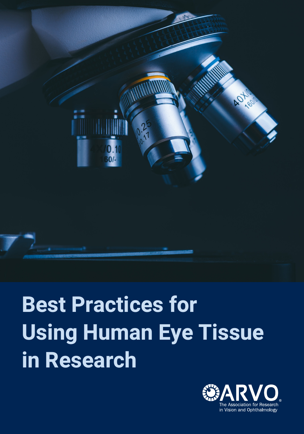

# **Best Practices for Using Human Eye Tissue in Research**

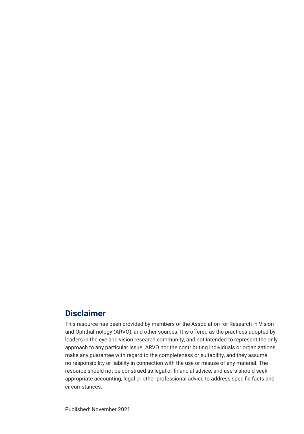#### **Disclaimer**

This resource has been provided by members of the Association for Research in Vision and Ophthalmology (ARVO), and other sources. It is offered as the practices adopted by leaders in the eye and vision research community, and not intended to represent the only approach to any particular issue. ARVO nor the contributing individuals or organizations make any guarantee with regard to the completeness or suitability, and they assume no responsibility or liability in connection with the use or misuse of any material. The resource should not be construed as legal or financial advice, and users should seek appropriate accounting, legal or other professional advice to address specific facts and circumstances.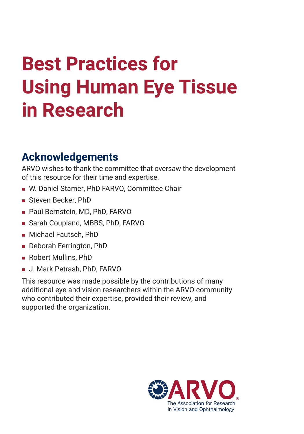# **Best Practices for Using Human Eye Tissue in Research**

## **Acknowledgements**

ARVO wishes to thank the committee that oversaw the development of this resource for their time and expertise.

- W. Daniel Stamer, PhD FARVO, Committee Chair
- Steven Becker, PhD
- Paul Bernstein, MD, PhD, FARVO
- Sarah Coupland, MBBS, PhD, FARVO
- **Michael Fautsch, PhD**
- Deborah Ferrington, PhD
- Robert Mullins, PhD
- J. Mark Petrash, PhD, FARVO

This resource was made possible by the contributions of many additional eye and vision researchers within the ARVO community who contributed their expertise, provided their review, and supported the organization.

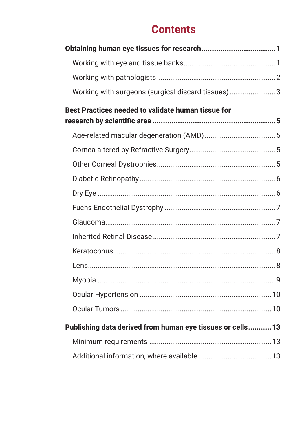## **Contents**

| Working with surgeons (surgical discard tissues) 3         |
|------------------------------------------------------------|
| Best Practices needed to validate human tissue for         |
|                                                            |
|                                                            |
|                                                            |
|                                                            |
|                                                            |
|                                                            |
|                                                            |
|                                                            |
|                                                            |
|                                                            |
|                                                            |
|                                                            |
|                                                            |
|                                                            |
| Publishing data derived from human eye tissues or cells 13 |
|                                                            |
|                                                            |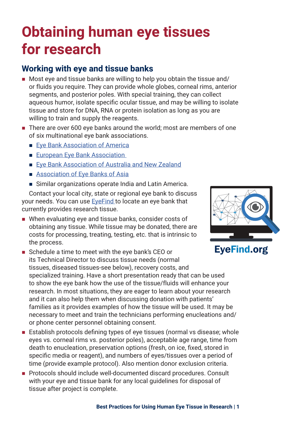# <span id="page-4-0"></span>**Obtaining human eye tissues for research**

## **Working with eye and tissue banks**

- Most eye and tissue banks are willing to help you obtain the tissue and/ or fluids you require. They can provide whole globes, corneal rims, anterior segments, and posterior poles. With special training, they can collect aqueous humor, isolate specific ocular tissue, and may be willing to isolate tissue and store for DNA, RNA or protein isolation as long as you are willing to train and supply the reagents.
- There are over 600 eye banks around the world; most are members of one of six multinational eye bank associations.
	- **[Eye Bank Association of America](http://www.restoresight.org)**
	- **European Eye Bank Association**
	- **[Eye Bank Association of Australia and New Zealand](http://www.ebaanz.org)**
	- [Association of Eye Banks of Asia](http://www.eyebankingasia.org)
	- Similar organizations operate India and Latin America.

Contact your local city, state or regional eye bank to discuss your needs. You can use [EyeFind](http://www.eyefind.org) to locate an eye bank that currently provides research tissue.

- When evaluating eye and tissue banks, consider costs of obtaining any tissue. While tissue may be donated, there are costs for processing, treating, testing, etc. that is intrinsic to the process.
- Schedule a time to meet with the eye bank's CEO or its Technical Director to discuss tissue needs (normal tissues, diseased tissues-see below), recovery costs, and specialized training. Have a short presentation ready that can be used to show the eye bank how the use of the tissue/fluids will enhance your research. In most situations, they are eager to learn about your research and it can also help them when discussing donation with patients' families as it provides examples of how the tissue will be used. It may be necessary to meet and train the technicians performing enucleations and/ or phone center personnel obtaining consent.
- **Establish protocols defining types of eye tissues (normal vs disease; whole** eyes vs. corneal rims vs. posterior poles), acceptable age range, time from death to enucleation, preservation options (fresh, on ice, fixed, stored in specific media or reagent), and numbers of eyes/tissues over a period of time (provide example protocol). Also mention donor exclusion criteria.
- Protocols should include well-documented discard procedures. Consult with your eye and tissue bank for any local guidelines for disposal of tissue after project is complete.



[EyeFind.org](http://www.eyefind.org)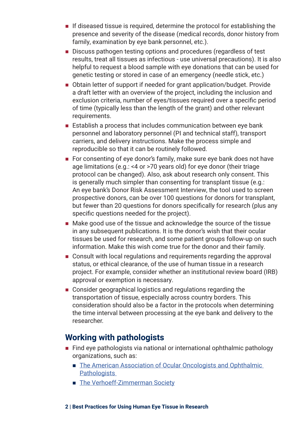- <span id="page-5-0"></span>If diseased tissue is required, determine the protocol for establishing the presence and severity of the disease (medical records, donor history from family, examination by eye bank personnel, etc.).
- Discuss pathogen testing options and procedures (regardless of test results, treat all tissues as infectious - use universal precautions). It is also helpful to request a blood sample with eye donations that can be used for genetic testing or stored in case of an emergency (needle stick, etc.)
- Obtain letter of support if needed for grant application/budget. Provide a draft letter with an overview of the project, including the inclusion and exclusion criteria, number of eyes/tissues required over a specific period of time (typically less than the length of the grant) and other relevant requirements.
- **Establish a process that includes communication between eye bank** personnel and laboratory personnel (PI and technical staff), transport carriers, and delivery instructions. Make the process simple and reproducible so that it can be routinely followed.
- For consenting of eye donor's family, make sure eye bank does not have age limitations (e.g.: <4 or >70 years old) for eye donor (their triage protocol can be changed). Also, ask about research only consent. This is generally much simpler than consenting for transplant tissue (e.g.: An eye bank's Donor Risk Assessment Interview, the tool used to screen prospective donors, can be over 100 questions for donors for transplant, but fewer than 20 questions for donors specifically for research (plus any specific questions needed for the project).
- Make good use of the tissue and acknowledge the source of the tissue in any subsequent publications. It is the donor's wish that their ocular tissues be used for research, and some patient groups follow-up on such information. Make this wish come true for the donor and their family.
- Consult with local regulations and requirements regarding the approval status, or ethical clearance, of the use of human tissue in a research project. For example, consider whether an institutional review board (IRB) approval or exemption is necessary.
- Consider geographical logistics and regulations regarding the transportation of tissue, especially across country borders. This consideration should also be a factor in the protocols when determining the time interval between processing at the eye bank and delivery to the researcher.

## **Working with pathologists**

- Find eye pathologists via national or international ophthalmic pathology organizations, such as:
	- The American Association of Ocular Oncologists and Ophthalmic **Pathologists**
	- [The Verhoeff-Zimmerman Society](http://www.vzsociety.org)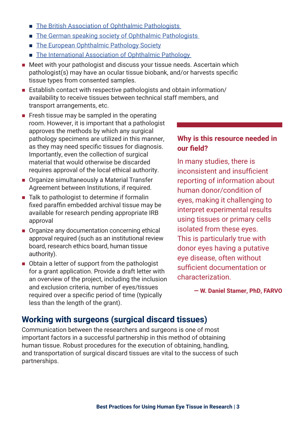- <span id="page-6-0"></span>The British Association of Ophthalmic Pathologists
- The German speaking society of Ophthalmic Pathologists
- **[The European Ophthalmic Pathology Society](http://eopsonline.org)**
- The International Association of Ophthalmic Pathology
- Meet with your pathologist and discuss your tissue needs. Ascertain which pathologist(s) may have an ocular tissue biobank, and/or harvests specific tissue types from consented samples.
- Establish contact with respective pathologists and obtain information/ availability to receive tissues between technical staff members, and transport arrangements, etc.
- Fresh tissue may be sampled in the operating room. However, it is important that a pathologist approves the methods by which any surgical pathology specimens are utilized in this manner, as they may need specific tissues for diagnosis. Importantly, even the collection of surgical material that would otherwise be discarded requires approval of the local ethical authority.
- Organize simultaneously a Material Transfer Agreement between Institutions, if required.
- Talk to pathologist to determine if formalin fixed paraffin embedded archival tissue may be available for research pending appropriate IRB approval
- **Organize any documentation concerning ethical** approval required (such as an institutional review board, research ethics board, human tissue authority).
- Obtain a letter of support from the pathologist for a grant application. Provide a draft letter with an overview of the project, including the inclusion and exclusion criteria, number of eyes/tissues required over a specific period of time (typically less than the length of the grant).

#### **Why is this resource needed in our field?**

In many studies, there is inconsistent and insufficient reporting of information about human donor/condition of eyes, making it challenging to interpret experimental results using tissues or primary cells isolated from these eyes. This is particularly true with donor eyes having a putative eye disease, often without sufficient documentation or characterization.

 **— W. Daniel Stamer, PhD, FARVO**

## **Working with surgeons (surgical discard tissues)**

Communication between the researchers and surgeons is one of most important factors in a successful partnership in this method of obtaining human tissue. Robust procedures for the execution of obtaining, handling, and transportation of surgical discard tissues are vital to the success of such partnerships.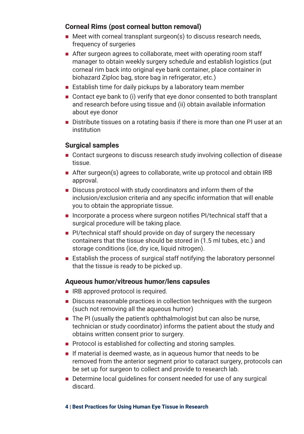#### **Corneal Rims (post corneal button removal)**

- $\blacksquare$  Meet with corneal transplant surgeon(s) to discuss research needs, frequency of surgeries
- After surgeon agrees to collaborate, meet with operating room staff manager to obtain weekly surgery schedule and establish logistics (put corneal rim back into original eye bank container, place container in biohazard Ziploc bag, store bag in refrigerator, etc.)
- **Establish time for daily pickups by a laboratory team member**
- Contact eye bank to (i) verify that eye donor consented to both transplant and research before using tissue and (ii) obtain available information about eye donor
- **Distribute tissues on a rotating basis if there is more than one PI user at an** institution

#### **Surgical samples**

- Contact surgeons to discuss research study involving collection of disease tissue.
- After surgeon(s) agrees to collaborate, write up protocol and obtain IRB approval.
- Discuss protocol with study coordinators and inform them of the inclusion/exclusion criteria and any specific information that will enable you to obtain the appropriate tissue.
- Incorporate a process where surgeon notifies PI/technical staff that a surgical procedure will be taking place.
- PI/technical staff should provide on day of surgery the necessary containers that the tissue should be stored in (1.5 ml tubes, etc.) and storage conditions (ice, dry ice, liquid nitrogen).
- **Establish the process of surgical staff notifying the laboratory personnel** that the tissue is ready to be picked up.

#### **Aqueous humor/vitreous humor/lens capsules**

- IRB approved protocol is required.
- Discuss reasonable practices in collection techniques with the surgeon (such not removing all the aqueous humor)
- $\blacksquare$  The PI (usually the patient's ophthalmologist but can also be nurse, technician or study coordinator) informs the patient about the study and obtains written consent prior to surgery.
- **Protocol is established for collecting and storing samples.**
- If material is deemed waste, as in aqueous humor that needs to be removed from the anterior segment prior to cataract surgery, protocols can be set up for surgeon to collect and provide to research lab.
- Determine local guidelines for consent needed for use of any surgical discard.

#### **4 | Best Practices for Using Human Eye Tissue in Research**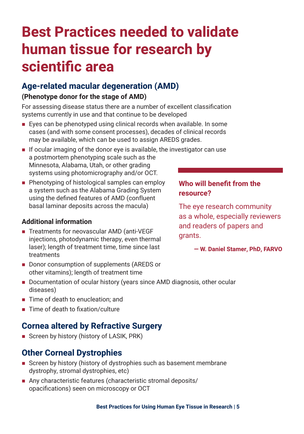# <span id="page-8-0"></span>**Best Practices needed to validate human tissue for research by scientific area**

## **Age-related macular degeneration (AMD)**

#### **(Phenotype donor for the stage of AMD)**

For assessing disease status there are a number of excellent classification systems currently in use and that continue to be developed

- Eyes can be phenotyped using clinical records when available. In some cases (and with some consent processes), decades of clinical records may be available, which can be used to assign AREDS grades.
- If ocular imaging of the donor eye is available, the investigator can use a postmortem phenotyping scale such as the Minnesota, Alabama, Utah, or other grading systems using photomicrography and/or OCT.
- Phenotyping of histological samples can employ a system such as the Alabama Grading System using the defined features of AMD (confluent basal laminar deposits across the macula)

#### **Additional information**

- Treatments for neovascular AMD (anti-VEGF injections, photodynamic therapy, even thermal laser); length of treatment time, time since last treatments
- Donor consumption of supplements (AREDS or other vitamins); length of treatment time
- **D** Documentation of ocular history (years since AMD diagnosis, other ocular diseases)
- Time of death to enucleation: and
- Time of death to fixation/culture

## **Cornea altered by Refractive Surgery**

Screen by history (history of LASIK, PRK)

## **Other Corneal Dystrophies**

- Screen by history (history of dystrophies such as basement membrane dystrophy, stromal dystrophies, etc)
- Any characteristic features (characteristic stromal deposits/ opacifications) seen on microscopy or OCT

### **Who will benefit from the resource?**

The eye research community as a whole, especially reviewers and readers of papers and grants.

 **— W. Daniel Stamer, PhD, FARVO**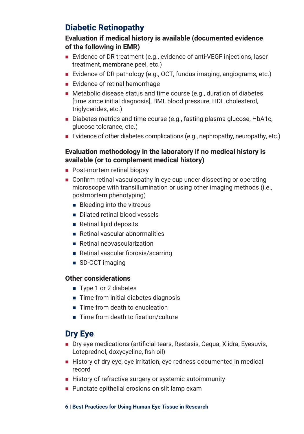## <span id="page-9-0"></span>**Diabetic Retinopathy**

#### **Evaluation if medical history is available (documented evidence of the following in EMR)**

- Evidence of DR treatment (e.g., evidence of anti-VEGF injections, laser treatment, membrane peel, etc.)
- Evidence of DR pathology (e.g., OCT, fundus imaging, angiograms, etc.)
- **Exidence of retinal hemorrhage**
- Metabolic disease status and time course (e.g., duration of diabetes [time since initial diagnosis], BMI, blood pressure, HDL cholesterol, triglycerides, etc.)
- Diabetes metrics and time course (e.g., fasting plasma glucose, HbA1c, glucose tolerance, etc.)
- **Example 1** Evidence of other diabetes complications (e.g., nephropathy, neuropathy, etc.)

#### **Evaluation methodology in the laboratory if no medical history is available (or to complement medical history)**

- Post-mortem retinal biopsy
- Confirm retinal vasculopathy in eye cup under dissecting or operating microscope with transillumination or using other imaging methods (i.e., postmortem phenotyping)
	- **Bleeding into the vitreous**
	- Dilated retinal blood vessels
	- Retinal lipid deposits
	- Retinal vascular abnormalities
	- Retinal neovascularization
	- Retinal vascular fibrosis/scarring
	- SD-OCT imaging

#### **Other considerations**

- Type 1 or 2 diabetes
- Time from initial diabetes diagnosis
- **Time from death to enucleation**
- Time from death to fixation/culture

## **Dry Eye**

- Dry eye medications (artificial tears, Restasis, Cequa, Xiidra, Eyesuvis, Loteprednol, doxycycline, fish oil)
- History of dry eye, eye irritation, eye redness documented in medical record
- **History of refractive surgery or systemic autoimmunity**
- **Punctate epithelial erosions on slit lamp exam**

#### **6 | Best Practices for Using Human Eye Tissue in Research**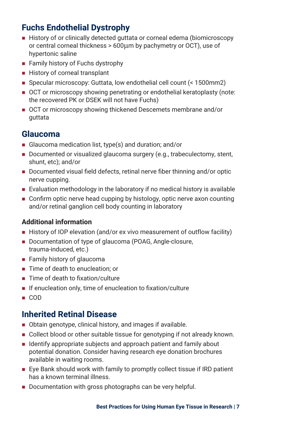## <span id="page-10-0"></span>**Fuchs Endothelial Dystrophy**

- History of or clinically detected guttata or corneal edema (biomicroscopy or central corneal thickness  $> 600 \mu m$  by pachymetry or OCT), use of hypertonic saline
- Family history of Fuchs dystrophy
- **History of corneal transplant**
- Specular microscopy: Guttata, low endothelial cell count (< 1500mm2)
- OCT or microscopy showing penetrating or endothelial keratoplasty (note: the recovered PK or DSEK will not have Fuchs)
- OCT or microscopy showing thickened Descemets membrane and/or guttata

## **Glaucoma**

- Glaucoma medication list, type(s) and duration; and/or
- Documented or visualized glaucoma surgery (e.g., trabeculectomy, stent, shunt, etc); and/or
- Documented visual field defects, retinal nerve fiber thinning and/or optic nerve cupping.
- **E** Evaluation methodology in the laboratory if no medical history is available
- Confirm optic nerve head cupping by histology, optic nerve axon counting and/or retinal ganglion cell body counting in laboratory

#### **Additional information**

- **History of IOP elevation (and/or ex vivo measurement of outflow facility)**
- Documentation of type of glaucoma (POAG, Angle-closure, trauma-induced, etc.)
- **Family history of glaucoma**
- **Time of death to enucleation: or**
- Time of death to fixation/culture
- $\blacksquare$  If enucleation only, time of enucleation to fixation/culture
- COD

## **Inherited Retinal Disease**

- Obtain genotype, clinical history, and images if available.
- **Collect blood or other suitable tissue for genotyping if not already known.**
- I Identify appropriate subjects and approach patient and family about potential donation. Consider having research eye donation brochures available in waiting rooms.
- Eye Bank should work with family to promptly collect tissue if IRD patient has a known terminal illness.
- Documentation with gross photographs can be very helpful.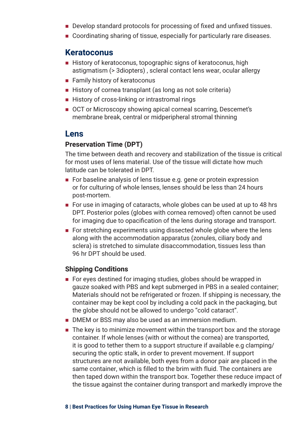- <span id="page-11-0"></span>Develop standard protocols for processing of fixed and unfixed tissues.
- Coordinating sharing of tissue, especially for particularly rare diseases.

#### **Keratoconus**

- History of keratoconus, topographic signs of keratoconus, high astigmatism (> 3diopters) , scleral contact lens wear, ocular allergy
- **Family history of keratoconus**
- History of cornea transplant (as long as not sole criteria)
- History of cross-linking or intrastromal rings
- OCT or Microscopy showing apical corneal scarring, Descemet's membrane break, central or midperipheral stromal thinning

## **Lens**

#### **Preservation Time (DPT)**

The time between death and recovery and stabilization of the tissue is critical for most uses of lens material. Use of the tissue will dictate how much latitude can be tolerated in DPT.

- For baseline analysis of lens tissue e.g. gene or protein expression or for culturing of whole lenses, lenses should be less than 24 hours post-mortem.
- For use in imaging of cataracts, whole globes can be used at up to 48 hrs DPT. Posterior poles (globes with cornea removed) often cannot be used for imaging due to opacification of the lens during storage and transport.
- For stretching experiments using dissected whole globe where the lens along with the accommodation apparatus (zonules, ciliary body and sclera) is stretched to simulate disaccommodation, tissues less than 96 hr DPT should be used.

#### **Shipping Conditions**

- For eyes destined for imaging studies, globes should be wrapped in gauze soaked with PBS and kept submerged in PBS in a sealed container; Materials should not be refrigerated or frozen. If shipping is necessary, the container may be kept cool by including a cold pack in the packaging, but the globe should not be allowed to undergo "cold cataract".
- **DMEM** or BSS may also be used as an immersion medium.
- The key is to minimize movement within the transport box and the storage container. If whole lenses (with or without the cornea) are transported, it is good to tether them to a support structure if available e.g clamping/ securing the optic stalk, in order to prevent movement. If support structures are not available, both eyes from a donor pair are placed in the same container, which is filled to the brim with fluid. The containers are then taped down within the transport box. Together these reduce impact of the tissue against the container during transport and markedly improve the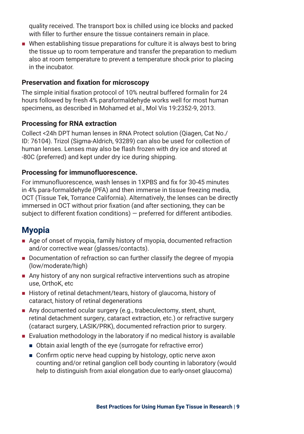<span id="page-12-0"></span>quality received. The transport box is chilled using ice blocks and packed with filler to further ensure the tissue containers remain in place.

 When establishing tissue preparations for culture it is always best to bring the tissue up to room temperature and transfer the preparation to medium also at room temperature to prevent a temperature shock prior to placing in the incubator.

#### **Preservation and fixation for microscopy**

The simple initial fixation protocol of 10% neutral buffered formalin for 24 hours followed by fresh 4% paraformaldehyde works well for most human specimens, as described in Mohamed et al., Mol Vis 19:2352-9, 2013.

#### **Processing for RNA extraction**

Collect <24h DPT human lenses in RNA Protect solution (Qiagen, Cat No./ ID: 76104). Trizol (Sigma-Aldrich, 93289) can also be used for collection of human lenses. Lenses may also be flash frozen with dry ice and stored at -80C (preferred) and kept under dry ice during shipping.

#### **Processing for immunofluorescence.**

For immunofluorescence, wash lenses in 1XPBS and fix for 30-45 minutes in 4% para-formaldehyde (PFA) and then immerse in tissue freezing media, OCT (Tissue Tek, Torrance California). Alternatively, the lenses can be directly immersed in OCT without prior fixation (and after sectioning, they can be subject to different fixation conditions) — preferred for different antibodies.

## **Myopia**

- Age of onset of myopia, family history of myopia, documented refraction and/or corrective wear (glasses/contacts).
- Documentation of refraction so can further classify the degree of myopia (low/moderate/high)
- Any history of any non surgical refractive interventions such as atropine use, OrthoK, etc
- History of retinal detachment/tears, history of glaucoma, history of cataract, history of retinal degenerations
- Any documented ocular surgery (e.g., trabeculectomy, stent, shunt, retinal detachment surgery, cataract extraction, etc.) or refractive surgery (cataract surgery, LASIK/PRK), documented refraction prior to surgery.
- Evaluation methodology in the laboratory if no medical history is available
	- Obtain axial length of the eye (surrogate for refractive error)
	- Confirm optic nerve head cupping by histology, optic nerve axon counting and/or retinal ganglion cell body counting in laboratory (would help to distinguish from axial elongation due to early-onset glaucoma)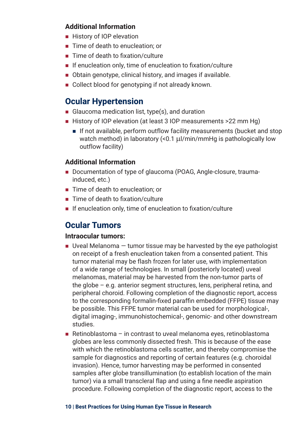#### <span id="page-13-0"></span>**Additional Information**

- **History of IOP elevation**
- Time of death to enucleation; or
- Time of death to fixation/culture
- $\blacksquare$  If enucleation only, time of enucleation to fixation/culture
- Obtain genotype, clinical history, and images if available.
- Collect blood for genotyping if not already known.

### **Ocular Hypertension**

- Glaucoma medication list, type(s), and duration
- History of IOP elevation (at least 3 IOP measurements >22 mm Hg)
	- **If not available, perform outflow facility measurements (bucket and stop** watch method) in laboratory  $\left($  <0.1  $\mu$ l/min/mmHg is pathologically low outflow facility)

#### **Additional Information**

- Documentation of type of glaucoma (POAG, Angle-closure, traumainduced, etc.)
- Time of death to enucleation; or
- Time of death to fixation/culture
- $\blacksquare$  If enucleation only, time of enucleation to fixation/culture

#### **Ocular Tumors**

#### **Intraocular tumors:**

- Uveal Melanoma  $-$  tumor tissue may be harvested by the eye pathologist on receipt of a fresh enucleation taken from a consented patient. This tumor material may be flash frozen for later use, with implementation of a wide range of technologies. In small (posteriorly located) uveal melanomas, material may be harvested from the non-tumor parts of the globe – e.g. anterior segment structures, lens, peripheral retina, and peripheral choroid. Following completion of the diagnostic report, access to the corresponding formalin-fixed paraffin embedded (FFPE) tissue may be possible. This FFPE tumor material can be used for morphological-, digital imaging-, immunohistochemical-, genomic- and other downstream studies.
- Retinoblastoma in contrast to uveal melanoma eyes, retinoblastoma globes are less commonly dissected fresh. This is because of the ease with which the retinoblastoma cells scatter, and thereby compromise the sample for diagnostics and reporting of certain features (e.g. choroidal invasion). Hence, tumor harvesting may be performed in consented samples after globe transillumination (to establish location of the main tumor) via a small transcleral flap and using a fine needle aspiration procedure. Following completion of the diagnostic report, access to the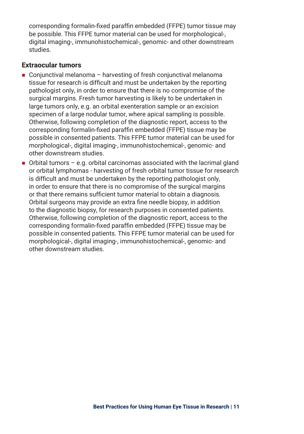corresponding formalin-fixed paraffin embedded (FFPE) tumor tissue may be possible. This FFPE tumor material can be used for morphological-, digital imaging-, immunohistochemical-, genomic- and other downstream studies.

#### **Extraocular tumors**

- Conjunctival melanoma harvesting of fresh conjunctival melanoma tissue for research is difficult and must be undertaken by the reporting pathologist only, in order to ensure that there is no compromise of the surgical margins. Fresh tumor harvesting is likely to be undertaken in large tumors only, e.g. an orbital exenteration sample or an excision specimen of a large nodular tumor, where apical sampling is possible. Otherwise, following completion of the diagnostic report, access to the corresponding formalin-fixed paraffin embedded (FFPE) tissue may be possible in consented patients. This FFPE tumor material can be used for morphological-, digital imaging-, immunohistochemical-, genomic- and other downstream studies.
- $\blacksquare$  Orbital tumors e.g. orbital carcinomas associated with the lacrimal gland or orbital lymphomas - harvesting of fresh orbital tumor tissue for research is difficult and must be undertaken by the reporting pathologist only, in order to ensure that there is no compromise of the surgical margins or that there remains sufficient tumor material to obtain a diagnosis. Orbital surgeons may provide an extra fine needle biopsy, in addition to the diagnostic biopsy, for research purposes in consented patients. Otherwise, following completion of the diagnostic report, access to the corresponding formalin-fixed paraffin embedded (FFPE) tissue may be possible in consented patients. This FFPE tumor material can be used for morphological-, digital imaging-, immunohistochemical-, genomic- and other downstream studies.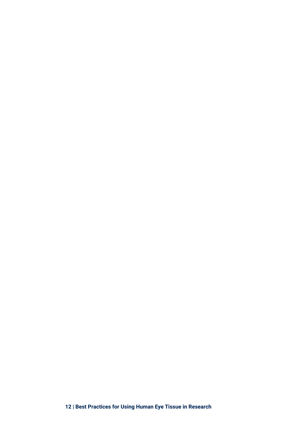**12 | Best Practices for Using Human Eye Tissue in Research**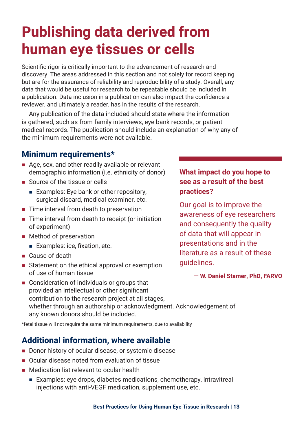# <span id="page-16-0"></span>**Publishing data derived from human eye tissues or cells**

Scientific rigor is critically important to the advancement of research and discovery. The areas addressed in this section and not solely for record keeping but are for the assurance of reliability and reproducibility of a study. Overall, any data that would be useful for research to be repeatable should be included in a publication. Data inclusion in a publication can also impact the confidence a reviewer, and ultimately a reader, has in the results of the research.

Any publication of the data included should state where the information is gathered, such as from family interviews, eye bank records, or patient medical records. The publication should include an explanation of why any of the minimum requirements were not available.

## **Minimum requirements\***

- Age, sex, and other readily available or relevant demographic information (i.e. ethnicity of donor)
- Source of the tissue or cells
	- **Examples: Eve bank or other repository.** surgical discard, medical examiner, etc.
- Time interval from death to preservation
- Time interval from death to receipt (or initiation of experiment)
- **Method of preservation** 
	- Examples: ice, fixation, etc.
- Cause of death
- Statement on the ethical approval or exemption of use of human tissue
- Consideration of individuals or groups that provided an intellectual or other significant contribution to the research project at all stages, whether through an authorship or acknowledgment. Acknowledgement of any known donors should be included.

\*fetal tissue will not require the same minimum requirements, due to availability

## **Additional information, where available**

- Donor history of ocular disease, or systemic disease
- **Ocular disease noted from evaluation of tissue**
- **Medication list relevant to ocular health** 
	- Examples: eye drops, diabetes medications, chemotherapy, intravitreal injections with anti-VEGF medication, supplement use, etc.

## **What impact do you hope to see as a result of the best practices?**

Our goal is to improve the awareness of eye researchers and consequently the quality of data that will appear in presentations and in the literature as a result of these guidelines.

 **— W. Daniel Stamer, PhD, FARVO**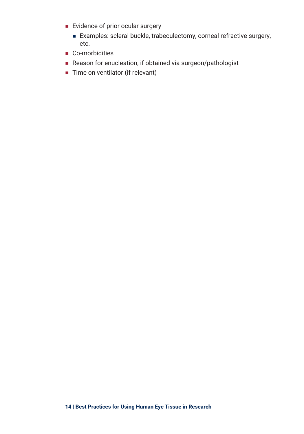- **Evidence of prior ocular surgery** 
	- Examples: scleral buckle, trabeculectomy, corneal refractive surgery, etc.
- Co-morbidities
- Reason for enucleation, if obtained via surgeon/pathologist
- Time on ventilator (if relevant)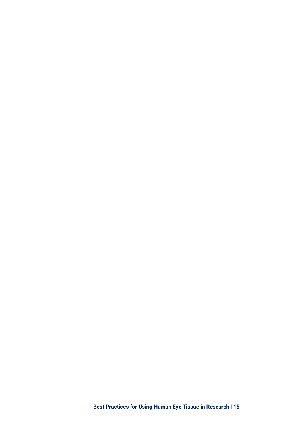**Best Practices for Using Human Eye Tissue in Research | 15**